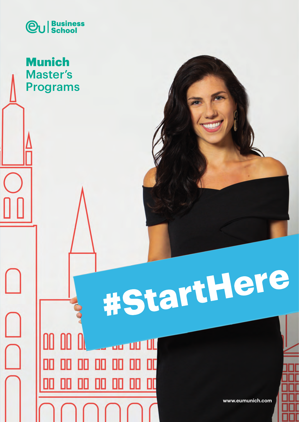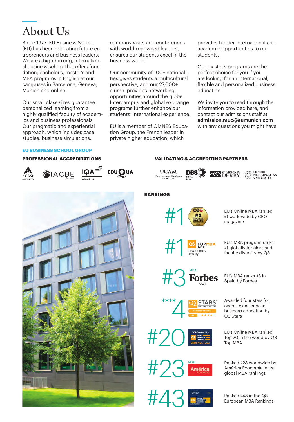

Since 1973, EU Business School (EU) has been educating future entrepreneurs and business leaders. We are a high-ranking, international business school that offers foundation, bachelor's, master's and MBA programs in English at our campuses in Barcelona, Geneva, Munich and online.

Our small class sizes guarantee personalized learning from a highly qualified faculty of academics and business professionals. Our pragmatic and experiential approach, which includes case studies, business simulations,

company visits and conferences with world-renowned leaders. ensures our students excel in the business world.

Our community of 100+ nationalities gives students a multicultural perspective, and our 27,000+ alumni provides networking opportunities around the globe. Intercampus and global exchange programs further enhance our students' international experience.

EU is a member of OMNES Education Group, the French leader in private higher education, which

UNIVERSIDAD CATÓLICA

provides further international and academic opportunities to our students.

Our master's programs are the perfect choice for you if you are looking for an international, flexible and personalized business education.

We invite you to read through the information provided here, and contact our admissions staff at **admission.muc@eumunich.com** with any questions you might have.

#### **EU BUSINESS SCHOOL GROUP**

#### **PROFESSIONAL ACCREDITATIONS**







# **UCAM AN UNIVERSITY OF LONDON**<br>DERBY METROPOLITAN

**VALIDATING & ACCREDITING PARTNERS**



EU's Online MBA ranked<br>
#1 worldwide by CEO<br>
magazine<br>
magazine #1 worldwide by CEO magazine





Diversity

**TOP 20 Globally Online MBA** | **2021**

**STARS** 

MBA

Awarded four stars for overall excellence in business education by QS Stars

EU's Online MBA ranked Top 20 in the world by QS Top MBA

Ranked #23 worldwide by<br>América Economía in its América Ranked #23 worldwide b<br>América Economía in its<br>global MBA rankings

> Ranked #43 in the QS European MBA Rankings

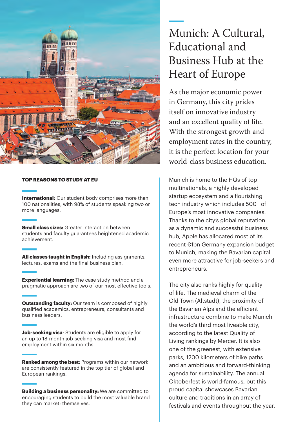

### **TOP REASONS TO STUDY AT EU**

**International:** Our student body comprises more than 100 nationalities, with 98% of students speaking two or more languages.

**Small class sizes:** Greater interaction between students and faculty guarantees heightened academic achievement.

**All classes taught in English:** Including assignments, lectures, exams and the final business plan.

**Experiential learning:** The case study method and a pragmatic approach are two of our most effective tools.

**Outstanding faculty:** Our team is composed of highly qualified academics, entrepreneurs, consultants and business leaders.

**Job-seeking visa**: Students are eligible to apply for an up to 18-month job-seeking visa and most find employment within six months.

**Ranked among the best:** Programs within our network are consistently featured in the top tier of global and European rankings.

**Building a business personality:** We are committed to encouraging students to build the most valuable brand they can market: themselves.

# Munich: A Cultural, Educational and Business Hub at the Heart of Europe

As the major economic power in Germany, this city prides itself on innovative industry and an excellent quality of life. With the strongest growth and employment rates in the country, it is the perfect location for your world-class business education.

Munich is home to the HQs of top multinationals, a highly developed startup ecosystem and a flourishing tech industry which includes 500+ of Europe's most innovative companies. Thanks to the city's global reputation as a dynamic and successful business hub, Apple has allocated most of its recent €1bn Germany expansion budget to Munich, making the Bavarian capital even more attractive for job-seekers and entrepreneurs.

The city also ranks highly for quality of life. The medieval charm of the Old Town (Altstadt), the proximity of the Bavarian Alps and the efficient infrastructure combine to make Munich the world's third most liveable city, according to the latest Quality of Living rankings by Mercer. It is also one of the greenest, with extensive parks, 1200 kilometers of bike paths and an ambitious and forward-thinking agenda for sustainability. The annual Oktoberfest is world-famous, but this proud capital showcases Bavarian culture and traditions in an array of festivals and events throughout the year.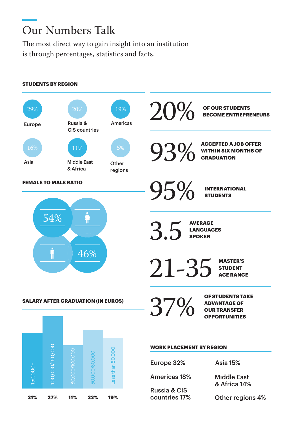# Our Numbers Talk

The most direct way to gain insight into an institution is through percentages, statistics and facts.

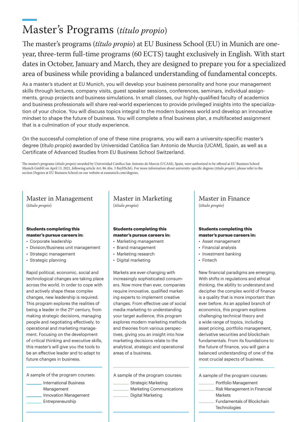# Master's Programs (*título propio*)

The master's programs (*título propio*) at EU Business School (EU) in Munich are oneyear, three-term full-time programs (60 ECTS) taught exclusively in English. With start dates in October, January and March, they are designed to prepare you for a specialized area of business while providing a balanced understanding of fundamental concepts.

As a master's student at EU Munich, you will develop your business personality and hone your management skills through lectures, company visits, guest speaker sessions, conferences, seminars, individual assignments, group projects and business simulations. In small classes, our highly-qualified faculty of academics and business professionals will share real-world experiences to provide privileged insights into the specialization of your choice. You will discuss topics integral to the modern business world and develop an innovative mindset to shape the future of business. You will complete a final business plan, a multifaceted assignment that is a culmination of your study experience.

On the successful completion of one of these nine programs, you will earn a university-specific master's degree (*título propio*) awarded by Universidad Católica San Antonio de Murcia (UCAM), Spain, as well as a Certificate of Advanced Studies from EU Business School Switzerland.

 The master's programs (*título propio*) awarded by Universidad Católica San Antonio de Murcia (UCAM), Spain, were authorized to be offered at EU Business School Munich GmbH on April 13, 2021, following article Art. 86 Abs. 3 BayHSchG. For more information about university-specific degrees (*título propio*), please refer to the section Degrees at EU Business School on our website at eumunich.com/degrees.

### Master in Management (*título propio*)

### **Students completing this master's pursue careers in:**

- Corporate leadership
- Division/Business unit management
- Strategic management
- Strategic planning

Rapid political, economic, social and technological changes are taking place across the world. In order to cope with and actively shape these complex changes, new leadership is required. This program explores the realities of being a leader in the 21<sup>st</sup> century, from making strategic decisions, managing people and negotiating effectively, to operational and marketing management. Focusing on the development of critical thinking and executive skills, this master's will give you the tools to be an effective leader and to adapt to future changes in business.

A sample of the program courses:

- International Business Management
- Innovation Management
- Entrepreneurship

Master in Marketing (*título propio*)

#### **Students completing this master's pursue careers in:**

- Marketing management
- Brand management
- Marketing research
- Digital marketing

Markets are ever-changing with increasingly sophisticated consumers. Now more than ever, companies require innovative, qualified marketing experts to implement creative changes. From effective use of social media marketing to understanding your target audience, this program explores modern marketing methods and theories from various perspectives, giving you an insight into how marketing decisions relate to the analytical, strategic and operational areas of a business.

A sample of the program courses:

- Strategic Marketing
- Marketing Communications
- Digital Marketing

### Master in Finance (*título propio*)

#### **Students completing this master's pursue careers in:**

- Asset management
- Financial analysis
- Investment banking
- Fintech

New financial paradigms are emerging. With shifts in regulations and ethical thinking, the ability to understand and decipher the complex world of finance is a quality that is more important than ever before. As an applied branch of economics, this program explores challenging technical theory and a wide range of topics, including asset pricing, portfolio management, derivative securities and blockchain fundamentals. From its foundations to the future of finance, you will gain a balanced understanding of one of the most crucial aspects of business.

A sample of the program courses:

- Portfolio Management Risk Management in Financial Markets Fundamentals of Blockchain
	- **Technologies**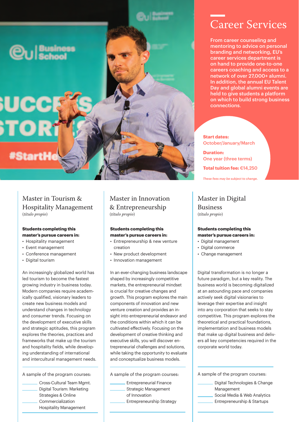

# Career Services

From career counseling and mentoring to advice on personal branding and networking, EU's career services department is on hand to provide one-to-one careers coaching and access to a network of over 27,000+ alumni. In addition, the annual EU Talent Day and global alumni events are held to give students a platform on which to build strong business connections.

### **Start dates:** October/January/March **Duration:** One year (three terms)

**Total tuition fee:** €14,250

*These fees may be subject to change.*

Master in Digital Business (*título propio*)

#### **Students completing this master's pursue careers in:**

- Digital management
- Digital commerce
- Change management

Digital transformation is no longer a future paradigm, but a key reality. The business world is becoming digitalized at an astounding pace and companies actively seek digital visionaries to leverage their expertise and insight into any corporation that seeks to stay competitive. This program explores the theoretical and practical foundations, implementation and business models that make up digital business and delivers all key competencies required in the corporate world today.

A sample of the program courses:

- Digital Technologies & Change Management
- Social Media & Web Analytics
- Entrepreneurship & Startups

Master in Tourism & Hospitality Management (*título propio*)

#### **Students completing this master's pursue careers in:**

- Hospitality management
- Event management
- Conference management
- Digital tourism

An increasingly globalized world has led tourism to become the fastest growing industry in business today. Modern companies require academically qualified, visionary leaders to create new business models and understand changes in technology and consumer trends. Focusing on the development of executive skills and strategic aptitudes, this program explores the theories, practices and frameworks that make up the tourism and hospitality fields, while developing understanding of international and intercultural management needs.

A sample of the program courses:

Cross-Cultural Team Mgmt. Digital Tourism: Marketing Strategies & Online Commercialization Hospitality Management

Master in Innovation & Entrepreneurship (*título propio*)

#### **Students completing this master's pursue careers in:**

- Entrepreneurship & new venture creation
- New product development
- Innovation management

In an ever-changing business landscape shaped by increasingly competitive markets, the entrepreneurial mindset is crucial for creative changes and growth. This program explores the main components of innovation and new venture creation and provides an insight into entrepreneurial endeavor and the conditions within which it can be cultivated effectively. Focusing on the development of creative thinking and executive skills, you will discover entrepreneurial challenges and solutions, while taking the opportunity to evaluate and conceptualize business models.

A sample of the program courses:

Entrepreneurial Finance Strategic Management of Innovation Entrepreneurship Strategy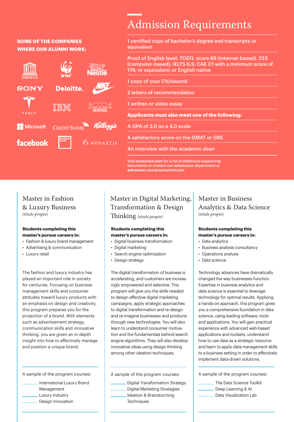# Admission Requirements

## **SOME OF THE COMPANIES WHERE OUR ALUMNI WORK:**



1 certified copy of bachelor's degree and transcripts or equivalent

Proof of English level: TOEFL score 89 (internet-based), 233 (computer-based); IELTS 6.5; CAE C1 with a minimum score of 176; or equivalent; or English native

1 copy of your CV/résumé

2 letters of recommendation

1 written or video essay

**Applicants must also meet one of the following:**

A GPA of 3.0 on a 4.0 scale

A satisfactory score on the GMAT or GRE

An interview with the academic dean

*Visit eumunich.com for a list of additional supporting documents or contact our admissions department at admission.muc@eumunich.com*

Master in Fashion & Luxury Business (*título propio*)

#### **Students completing this master's pursue careers in:**

- Fashion & luxury brand management
- Advertising & communication
- Luxury retail

The fashion and luxury industry has played an important role in society for centuries. Focusing on business management skills and consumer attitudes toward luxury products with an emphasis on design and creativity, this program prepares you for the projection of a brand. With elements such as advertisement strategy, communication skills and innovative thinking, you are given an in-depth insight into how to effectively manage and position a unique brand.

A sample of the program courses:

International Luxury Brand Management Luxury Industry Design Innovation

# Master in Digital Marketing, Transformation & Design Thinking (*título propio*)

#### **Students completing this master's pursue careers in:**

- Digital business transformation
- Digital marketing
- Search engine optimization
- Design strategy

The digital transformation of business is accelerating, and customers are increasingly empowered and selective. This program will give you the skills needed to design effective digital marketing campaigns, apply strategic approaches to digital transformation and re-design and re-imagine businesses and products through new technologies. You will also learn to understand consumer motivation and the fundamentals behind search engine algorithms. They will also develop innovative ideas using design thinking among other ideation techniques.

A sample of the program courses:

Digital Transformation Strategy Digital Marketing Strategies Ideation & Brainstorming

**Techniques** 

# Master in Business Analytics & Data Science (*título propio*)

#### **Students completing this master's pursue careers in:**

- Data analytics
- Business analysis consultancy
- Operations analysis
- Data science

Technology advances have dramatically changed the way businesses function. Expertise in business analytics and data science is essential to leverage technology for optimal results. Applying a hands-on approach, this program gives you a comprehensive foundation in data science, using leading software, tools and applications. You will gain practical experience with advanced web-based applications and toolsets, understand how to use data as a strategic resource and learn to apply data management skills to a business setting in order to effectively implement data-driven solutions.

A sample of the program courses:

- The Data Science Toolkit Deep Learning & AI
- Data Visualization Lab